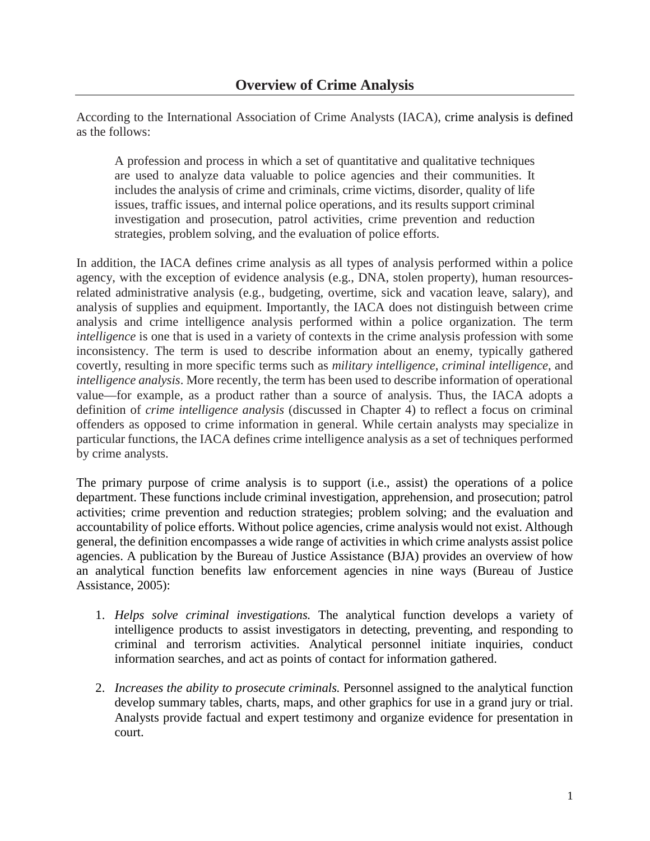According to the International Association of Crime Analysts (IACA), crime analysis is defined as the follows:

A profession and process in which a set of quantitative and qualitative techniques are used to analyze data valuable to police agencies and their communities. It includes the analysis of crime and criminals, crime victims, disorder, quality of life issues, traffic issues, and internal police operations, and its results support criminal investigation and prosecution, patrol activities, crime prevention and reduction strategies, problem solving, and the evaluation of police efforts.

In addition, the IACA defines crime analysis as all types of analysis performed within a police agency, with the exception of evidence analysis (e.g., DNA, stolen property), human resourcesrelated administrative analysis (e.g., budgeting, overtime, sick and vacation leave, salary), and analysis of supplies and equipment. Importantly, the IACA does not distinguish between crime analysis and crime intelligence analysis performed within a police organization. The term *intelligence* is one that is used in a variety of contexts in the crime analysis profession with some inconsistency. The term is used to describe information about an enemy, typically gathered covertly, resulting in more specific terms such as *military intelligence*, *criminal intelligence*, and *intelligence analysis*. More recently, the term has been used to describe information of operational value—for example, as a product rather than a source of analysis. Thus, the IACA adopts a definition of *crime intelligence analysis* (discussed in Chapter 4) to reflect a focus on criminal offenders as opposed to crime information in general. While certain analysts may specialize in particular functions, the IACA defines crime intelligence analysis as a set of techniques performed by crime analysts.

The primary purpose of crime analysis is to support (i.e., assist) the operations of a police department. These functions include criminal investigation, apprehension, and prosecution; patrol activities; crime prevention and reduction strategies; problem solving; and the evaluation and accountability of police efforts. Without police agencies, crime analysis would not exist. Although general, the definition encompasses a wide range of activities in which crime analysts assist police agencies. A publication by the Bureau of Justice Assistance (BJA) provides an overview of how an analytical function benefits law enforcement agencies in nine ways (Bureau of Justice Assistance, 2005):

- 1. *Helps solve criminal investigations.* The analytical function develops a variety of intelligence products to assist investigators in detecting, preventing, and responding to criminal and terrorism activities. Analytical personnel initiate inquiries, conduct information searches, and act as points of contact for information gathered.
- 2. *Increases the ability to prosecute criminals.* Personnel assigned to the analytical function develop summary tables, charts, maps, and other graphics for use in a grand jury or trial. Analysts provide factual and expert testimony and organize evidence for presentation in court.